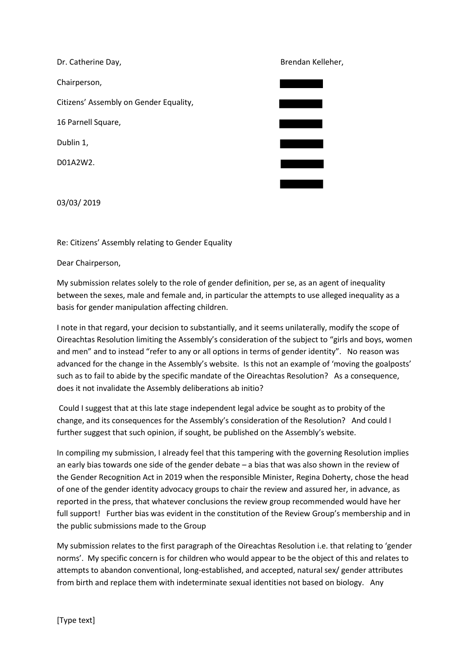Dr. Catherine Day, **Brendan Kelleher**, **Brendan Kelleher**, Chairperson, Citizens' Assembly on Gender Equality, 16 Parnell Square, Dublin 1, D01A2W2.

03/03/ 2019

Re: Citizens' Assembly relating to Gender Equality

Dear Chairperson,

My submission relates solely to the role of gender definition, per se, as an agent of inequality between the sexes, male and female and, in particular the attempts to use alleged inequality as a basis for gender manipulation affecting children.

I note in that regard, your decision to substantially, and it seems unilaterally, modify the scope of Oireachtas Resolution limiting the Assembly's consideration of the subject to "girls and boys, women and men" and to instead "refer to any or all options in terms of gender identity". No reason was advanced for the change in the Assembly's website. Is this not an example of 'moving the goalposts' such as to fail to abide by the specific mandate of the Oireachtas Resolution? As a consequence, does it not invalidate the Assembly deliberations ab initio?

Could I suggest that at this late stage independent legal advice be sought as to probity of the change, and its consequences for the Assembly's consideration of the Resolution? And could I further suggest that such opinion, if sought, be published on the Assembly's website.

In compiling my submission, I already feel that this tampering with the governing Resolution implies an early bias towards one side of the gender debate – a bias that was also shown in the review of the Gender Recognition Act in 2019 when the responsible Minister, Regina Doherty, chose the head of one of the gender identity advocacy groups to chair the review and assured her, in advance, as reported in the press, that whatever conclusions the review group recommended would have her full support! Further bias was evident in the constitution of the Review Group's membership and in the public submissions made to the Group

My submission relates to the first paragraph of the Oireachtas Resolution i.e. that relating to 'gender norms'. My specific concern is for children who would appear to be the object of this and relates to attempts to abandon conventional, long-established, and accepted, natural sex/ gender attributes from birth and replace them with indeterminate sexual identities not based on biology. Any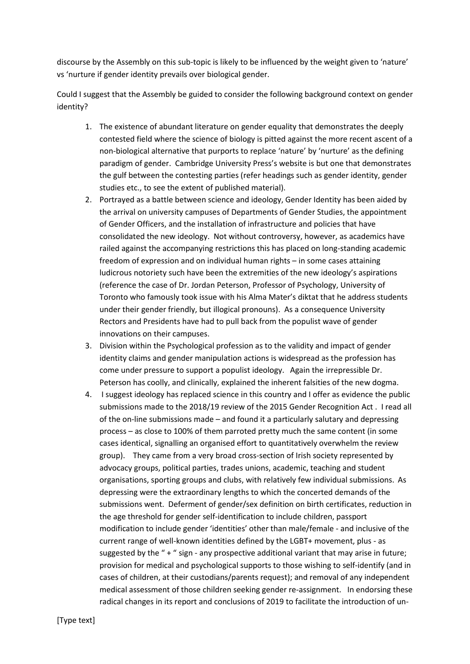discourse by the Assembly on this sub-topic is likely to be influenced by the weight given to 'nature' vs 'nurture if gender identity prevails over biological gender.

Could I suggest that the Assembly be guided to consider the following background context on gender identity?

- 1. The existence of abundant literature on gender equality that demonstrates the deeply contested field where the science of biology is pitted against the more recent ascent of a non-biological alternative that purports to replace 'nature' by 'nurture' as the defining paradigm of gender. Cambridge University Press's website is but one that demonstrates the gulf between the contesting parties (refer headings such as gender identity, gender studies etc., to see the extent of published material).
- 2. Portrayed as a battle between science and ideology, Gender Identity has been aided by the arrival on university campuses of Departments of Gender Studies, the appointment of Gender Officers, and the installation of infrastructure and policies that have consolidated the new ideology. Not without controversy, however, as academics have railed against the accompanying restrictions this has placed on long-standing academic freedom of expression and on individual human rights – in some cases attaining ludicrous notoriety such have been the extremities of the new ideology's aspirations (reference the case of Dr. Jordan Peterson, Professor of Psychology, University of Toronto who famously took issue with his Alma Mater's diktat that he address students under their gender friendly, but illogical pronouns). As a consequence University Rectors and Presidents have had to pull back from the populist wave of gender innovations on their campuses.
- 3. Division within the Psychological profession as to the validity and impact of gender identity claims and gender manipulation actions is widespread as the profession has come under pressure to support a populist ideology. Again the irrepressible Dr. Peterson has coolly, and clinically, explained the inherent falsities of the new dogma.
- 4. I suggest ideology has replaced science in this country and I offer as evidence the public submissions made to the 2018/19 review of the 2015 Gender Recognition Act . I read all of the on-line submissions made – and found it a particularly salutary and depressing process – as close to 100% of them parroted pretty much the same content (in some cases identical, signalling an organised effort to quantitatively overwhelm the review group). They came from a very broad cross-section of Irish society represented by advocacy groups, political parties, trades unions, academic, teaching and student organisations, sporting groups and clubs, with relatively few individual submissions. As depressing were the extraordinary lengths to which the concerted demands of the submissions went. Deferment of gender/sex definition on birth certificates, reduction in the age threshold for gender self-identification to include children, passport modification to include gender 'identities' other than male/female - and inclusive of the current range of well-known identities defined by the LGBT+ movement, plus - as suggested by the " + " sign - any prospective additional variant that may arise in future; provision for medical and psychological supports to those wishing to self-identify (and in cases of children, at their custodians/parents request); and removal of any independent medical assessment of those children seeking gender re-assignment. In endorsing these radical changes in its report and conclusions of 2019 to facilitate the introduction of un-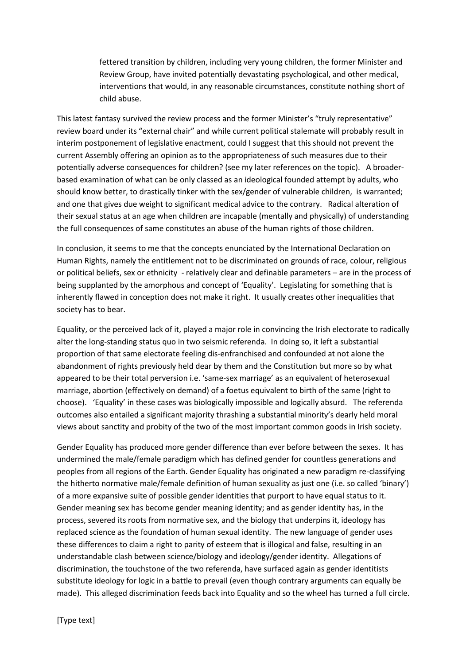fettered transition by children, including very young children, the former Minister and Review Group, have invited potentially devastating psychological, and other medical, interventions that would, in any reasonable circumstances, constitute nothing short of child abuse.

This latest fantasy survived the review process and the former Minister's "truly representative" review board under its "external chair" and while current political stalemate will probably result in interim postponement of legislative enactment, could I suggest that this should not prevent the current Assembly offering an opinion as to the appropriateness of such measures due to their potentially adverse consequences for children? (see my later references on the topic). A broaderbased examination of what can be only classed as an ideological founded attempt by adults, who should know better, to drastically tinker with the sex/gender of vulnerable children, is warranted; and one that gives due weight to significant medical advice to the contrary. Radical alteration of their sexual status at an age when children are incapable (mentally and physically) of understanding the full consequences of same constitutes an abuse of the human rights of those children.

In conclusion, it seems to me that the concepts enunciated by the International Declaration on Human Rights, namely the entitlement not to be discriminated on grounds of race, colour, religious or political beliefs, sex or ethnicity - relatively clear and definable parameters – are in the process of being supplanted by the amorphous and concept of 'Equality'. Legislating for something that is inherently flawed in conception does not make it right. It usually creates other inequalities that society has to bear.

Equality, or the perceived lack of it, played a major role in convincing the Irish electorate to radically alter the long-standing status quo in two seismic referenda. In doing so, it left a substantial proportion of that same electorate feeling dis-enfranchised and confounded at not alone the abandonment of rights previously held dear by them and the Constitution but more so by what appeared to be their total perversion i.e. 'same-sex marriage' as an equivalent of heterosexual marriage, abortion (effectively on demand) of a foetus equivalent to birth of the same (right to choose). 'Equality' in these cases was biologically impossible and logically absurd. The referenda outcomes also entailed a significant majority thrashing a substantial minority's dearly held moral views about sanctity and probity of the two of the most important common goods in Irish society.

Gender Equality has produced more gender difference than ever before between the sexes. It has undermined the male/female paradigm which has defined gender for countless generations and peoples from all regions of the Earth. Gender Equality has originated a new paradigm re-classifying the hitherto normative male/female definition of human sexuality as just one (i.e. so called 'binary') of a more expansive suite of possible gender identities that purport to have equal status to it. Gender meaning sex has become gender meaning identity; and as gender identity has, in the process, severed its roots from normative sex, and the biology that underpins it, ideology has replaced science as the foundation of human sexual identity. The new language of gender uses these differences to claim a right to parity of esteem that is illogical and false, resulting in an understandable clash between science/biology and ideology/gender identity. Allegations of discrimination, the touchstone of the two referenda, have surfaced again as gender identitists substitute ideology for logic in a battle to prevail (even though contrary arguments can equally be made). This alleged discrimination feeds back into Equality and so the wheel has turned a full circle.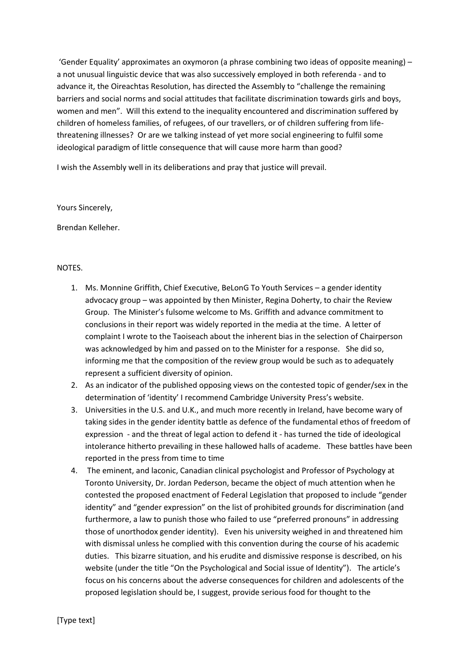'Gender Equality' approximates an oxymoron (a phrase combining two ideas of opposite meaning) – a not unusual linguistic device that was also successively employed in both referenda - and to advance it, the Oireachtas Resolution, has directed the Assembly to "challenge the remaining barriers and social norms and social attitudes that facilitate discrimination towards girls and boys, women and men". Will this extend to the inequality encountered and discrimination suffered by children of homeless families, of refugees, of our travellers, or of children suffering from lifethreatening illnesses? Or are we talking instead of yet more social engineering to fulfil some ideological paradigm of little consequence that will cause more harm than good?

I wish the Assembly well in its deliberations and pray that justice will prevail.

Yours Sincerely,

Brendan Kelleher.

## NOTES.

- 1. Ms. Monnine Griffith, Chief Executive, BeLonG To Youth Services a gender identity advocacy group – was appointed by then Minister, Regina Doherty, to chair the Review Group. The Minister's fulsome welcome to Ms. Griffith and advance commitment to conclusions in their report was widely reported in the media at the time. A letter of complaint I wrote to the Taoiseach about the inherent bias in the selection of Chairperson was acknowledged by him and passed on to the Minister for a response. She did so, informing me that the composition of the review group would be such as to adequately represent a sufficient diversity of opinion.
- 2. As an indicator of the published opposing views on the contested topic of gender/sex in the determination of 'identity' I recommend Cambridge University Press's website.
- 3. Universities in the U.S. and U.K., and much more recently in Ireland, have become wary of taking sides in the gender identity battle as defence of the fundamental ethos of freedom of expression - and the threat of legal action to defend it - has turned the tide of ideological intolerance hitherto prevailing in these hallowed halls of academe. These battles have been reported in the press from time to time
- 4. The eminent, and laconic, Canadian clinical psychologist and Professor of Psychology at Toronto University, Dr. Jordan Pederson, became the object of much attention when he contested the proposed enactment of Federal Legislation that proposed to include "gender identity" and "gender expression" on the list of prohibited grounds for discrimination (and furthermore, a law to punish those who failed to use "preferred pronouns" in addressing those of unorthodox gender identity). Even his university weighed in and threatened him with dismissal unless he complied with this convention during the course of his academic duties. This bizarre situation, and his erudite and dismissive response is described, on his website (under the title "On the Psychological and Social issue of Identity"). The article's focus on his concerns about the adverse consequences for children and adolescents of the proposed legislation should be, I suggest, provide serious food for thought to the